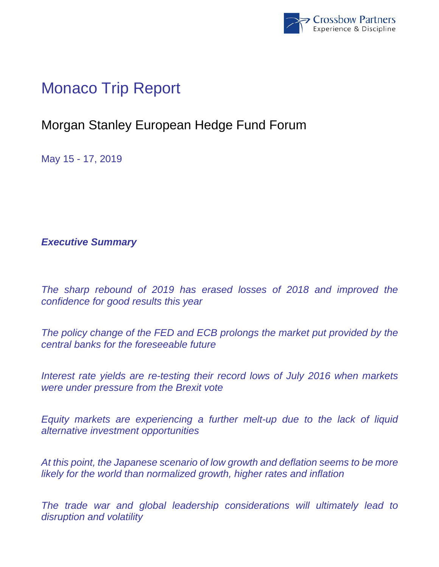

## Monaco Trip Report

## Morgan Stanley European Hedge Fund Forum

May 15 - 17, 2019

*Executive Summary* 

*The sharp rebound of 2019 has erased losses of 2018 and improved the confidence for good results this year* 

*The policy change of the FED and ECB prolongs the market put provided by the central banks for the foreseeable future* 

*Interest rate yields are re-testing their record lows of July 2016 when markets were under pressure from the Brexit vote* 

*Equity markets are experiencing a further melt-up due to the lack of liquid alternative investment opportunities* 

*At this point, the Japanese scenario of low growth and deflation seems to be more likely for the world than normalized growth, higher rates and inflation* 

*The trade war and global leadership considerations will ultimately lead to disruption and volatility*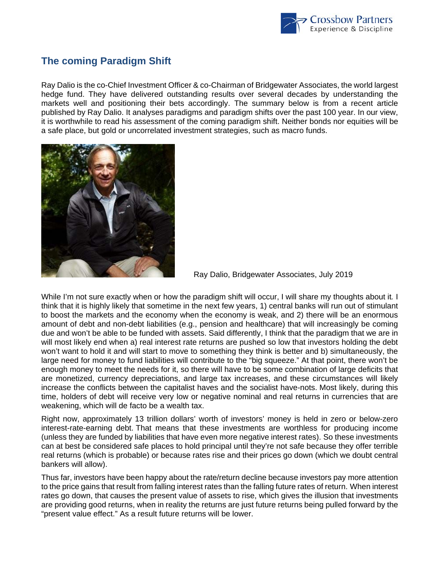

## **The coming Paradigm Shift**

Ray Dalio is the co-Chief Investment Officer & co-Chairman of Bridgewater Associates, the world largest hedge fund. They have delivered outstanding results over several decades by understanding the markets well and positioning their bets accordingly. The summary below is from a recent article published by Ray Dalio. It analyses paradigms and paradigm shifts over the past 100 year. In our view, it is worthwhile to read his assessment of the coming paradigm shift. Neither bonds nor equities will be a safe place, but gold or uncorrelated investment strategies, such as macro funds.



Ray Dalio, Bridgewater Associates, July 2019

While I'm not sure exactly when or how the paradigm shift will occur, I will share my thoughts about it*.* I think that it is highly likely that sometime in the next few years, 1) central banks will run out of stimulant to boost the markets and the economy when the economy is weak, and 2) there will be an enormous amount of debt and non-debt liabilities (e.g., pension and healthcare) that will increasingly be coming due and won't be able to be funded with assets. Said differently, I think that the paradigm that we are in will most likely end when a) real interest rate returns are pushed so low that investors holding the debt won't want to hold it and will start to move to something they think is better and b) simultaneously, the large need for money to fund liabilities will contribute to the "big squeeze." At that point, there won't be enough money to meet the needs for it, so there will have to be some combination of large deficits that are monetized, currency depreciations, and large tax increases, and these circumstances will likely increase the conflicts between the capitalist haves and the socialist have-nots. Most likely, during this time, holders of debt will receive very low or negative nominal and real returns in currencies that are weakening, which will de facto be a wealth tax.

Right now, approximately 13 trillion dollars' worth of investors' money is held in zero or below-zero interest-rate-earning debt. That means that these investments are worthless for producing income (unless they are funded by liabilities that have even more negative interest rates). So these investments can at best be considered safe places to hold principal until they're not safe because they offer terrible real returns (which is probable) or because rates rise and their prices go down (which we doubt central bankers will allow).

Thus far, investors have been happy about the rate/return decline because investors pay more attention to the price gains that result from falling interest rates than the falling future rates of return. When interest rates go down, that causes the present value of assets to rise, which gives the illusion that investments are providing good returns, when in reality the returns are just future returns being pulled forward by the "present value effect." As a result future returns will be lower.